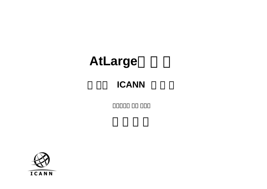### **ICANN**

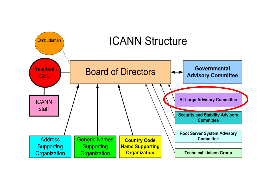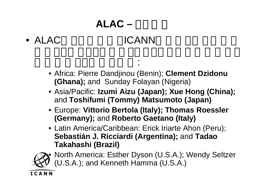# **ALAC –** メンバー

#### • ALACICANN

• Africa: Pierre Dandjinou (Benin); **Clement Dzidonu (Ghana);** and Sunday Folayan (Nigeria)

:

- Asia/Pacific: **Izumi Aizu (Japan); Xue Hong (China);**  and **Toshifumi (Tommy) Matsumoto (Japan)**
- Europe: **Vittorio Bertola (Italy); Thomas Roessler (Germany);** and **Roberto Gaetano (Italy)**
- Latin America/Caribbean: Erick Iriarte Ahon (Peru); **Sebastián J. Ricciardi (Argentina);** and **Tadao Takahashi (Brazil)**



 North America: Esther Dyson (U.S.A.); Wendy Seltzer (U.S.A.); and Kenneth Hamma (U.S.A.)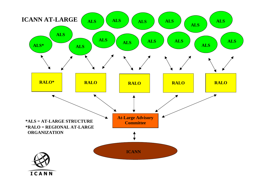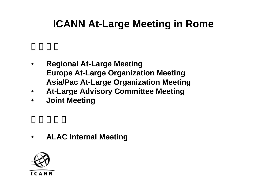# **ICANN At-Large Meeting in Rome**

- • **Regional At-Large Meeting Europe At-Large Organization Meeting Asia/Pac At-Large Organization Meeting**
- $\bullet$ **At-Large Advisory Committee Meeting**
- $\bullet$ **Joint Meeting**

 $\bullet$ **ALAC Internal Meeting**

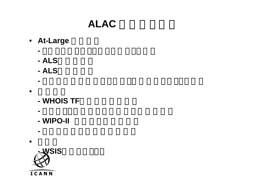# ALAC

- At-Large **Desimal** 
	- **-**
	- **- ALS**の認定処理
	- **- ALS**の申請受付
- •
- **- WHOIS TF**に対す意見書提出
- **-**

**-**

- **- WIPO-II** に対する意見書提出
- **-**
- •

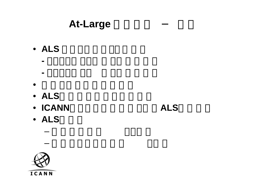• ALS  $\overline{\phantom{a}}$ 

**-**

**-**

- •
- **ALS**
- ICANN ALS
- ALS

–

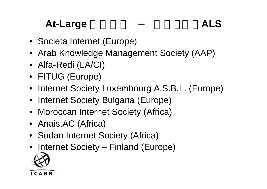# At-Large **ALS**

- Societa Internet (Europe)
- Arab Knowledge Management Society (AAP)
- Alfa-Redi (LA/CI)
- FITUG (Europe)
- Internet Society Luxembourg A.S.B.L. (Europe)
- Internet Society Bulgaria (Europe)
- Moroccan Internet Society (Africa)
- Anais.AC (Africa)
- Sudan Internet Society (Africa)
- Internet Society Finland (Europe)

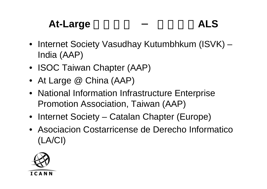# At-Large **ALS**

- Internet Society Vasudhay Kutumbhkum (ISVK) India (AAP)
- ISOC Taiwan Chapter (AAP)
- At Large @ China (AAP)
- National Information Infrastructure Enterprise Promotion Association, Taiwan (AAP)
- Internet Society Catalan Chapter (Europe)
- Asociacion Costarricense de Derecho Informatico(LA/CI)

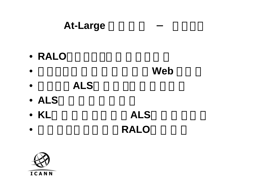- **RALO**
- •Web **Web**
- •アクラに**ALS**サポートの拠点を組織
- **ALS**数の増加策策定中
- KL ALS
- •RALO

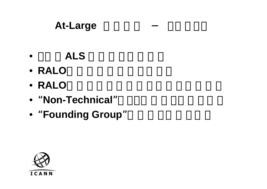- •ALS
- **RALO**
- **RALO**
- "**Non-Technical**"な40組織にメールで打診
- "Founding Group" **comparately and the Second Property**

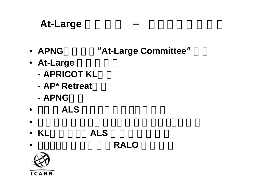- APNG **"At-Large Committee"**
- At-Large **At-Large** 
	- **- APRICOT KL**会議
	- **AP\* Retreat**
	- **- APNG**会議
- •ALS
- •

•

- **KL**会議で、全**ALS** の合同会合企画
	- 2005年末を目途に**RALO** 発足企画

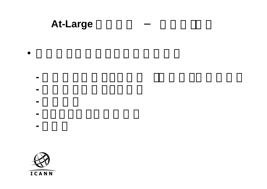- •
- - **-**
	- **-**
	- **-**
	- **-**
	- **-**

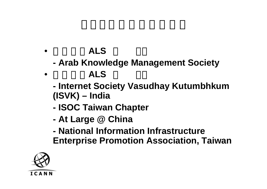#### •ALS

- **- Arab Knowledge Management Society**
- •ALS
	- **- Internet Society Vasudhay Kutumbhkum (ISVK) – India**
	- **- ISOC Taiwan Chapter**
	- **- At Large @ China**
	- **- National Information Infrastructure Enterprise Promotion Association, Taiwan**

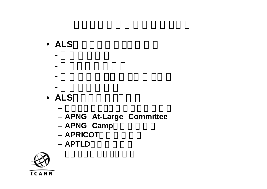#### • ALS 2000 and 2000 and 2000 and 2000 and 2000 and 2000 and 2000 and 2000 and 2000 and 2000 and 2000 and 2000 and 2000 and 2000 and 2000 and 2000 and 2000 and 2000 and 2000 and 2000 and 2000 and 2000 and 2000 and 2000 and

- **-**
- **-**
- **-**
- **-**
- **ALS**プロモーション活動
	- **APNG At-Large Committee**
	- **APNG** Camp
	- **APRICOT**での啓蒙活動
	- **APTLD**での啓蒙活動